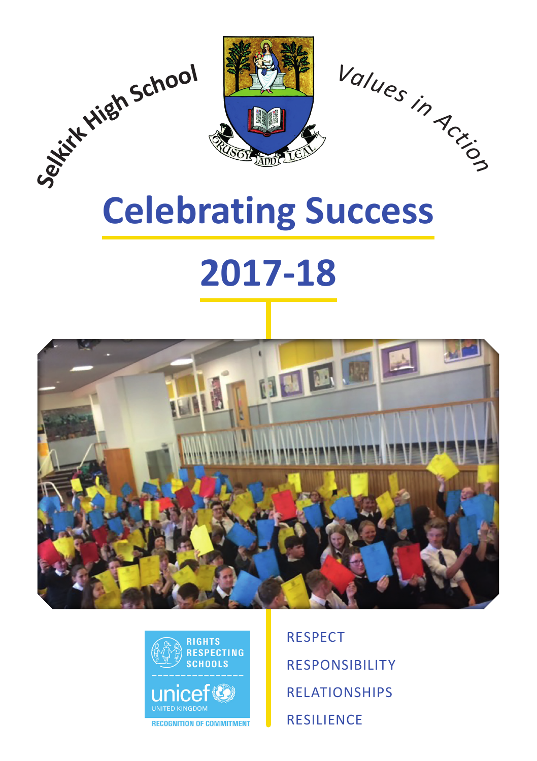

# **Celebrating Success**

# **2017-18**





RESPECT RESPONSIBILITY RELATIONSHIPS RESILIENCE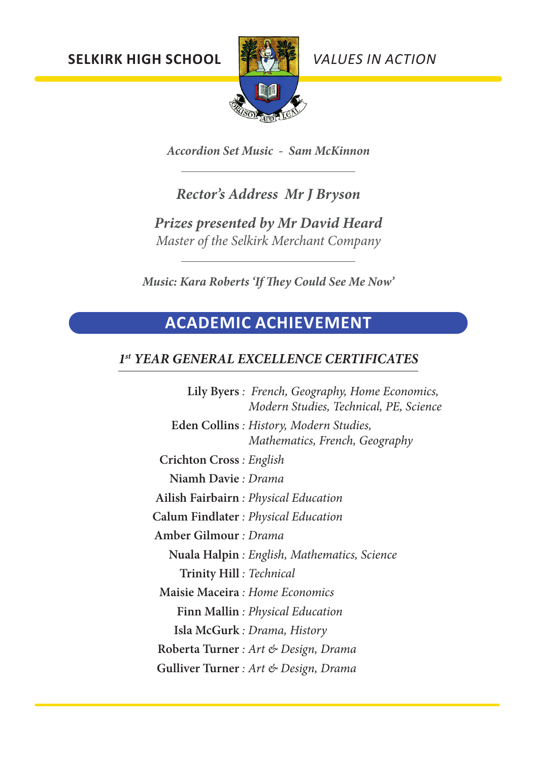**SELKIRK HIGH SCHOOL** *VALUES IN ACTION*



*Accordion Set Music - Sam McKinnon*

## *Rector's Address Mr J Bryson*

*Prizes presented by Mr David Heard Master of the Selkirk Merchant Company*

*Music: Kara Roberts 'If They Could See Me Now'*

# **ACADEMIC ACHIEVEMENT**

## *1st YEAR GENERAL EXCELLENCE CERTIFICATES*

**Lily Byers** *: French, Geography, Home Economics, Modern Studies, Technical, PE, Science* **Eden Collins** *: History, Modern Studies, Mathematics, French, Geography* **Crichton Cross** *: English* **Niamh Davie** *: Drama* **Ailish Fairbairn** *: Physical Education* **Calum Findlater** *: Physical Education* **Amber Gilmour** *: Drama* **Nuala Halpin** *: English, Mathematics, Science* **Trinity Hill** *: Technical* **Maisie Maceira** *: Home Economics* **Finn Mallin** *: Physical Education* **Isla McGurk** *: Drama, History* **Roberta Turner** *: Art & Design, Drama* **Gulliver Turner** *: Art & Design, Drama*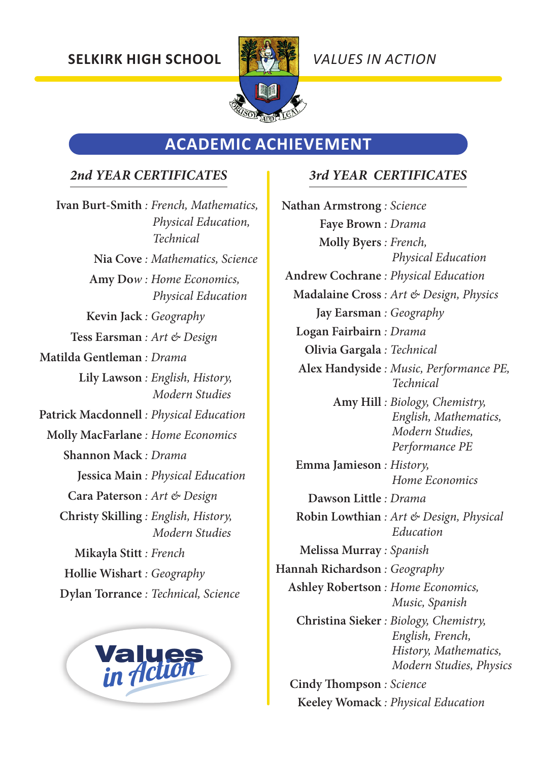

## **ACADEMIC ACHIEVEMENT**

#### *2nd YEAR CERTIFICATES 3rd YEAR CERTIFICATES*

**Ivan Burt-Smith** *: French, Mathematics, Physical Education, Technical* **Nia Cove** *: Mathematics, Science* **Amy Do***w : Home Economics, Physical Education* **Kevin Jack** *: Geography* **Tess Earsman** *: Art & Design* **Matilda Gentleman** *: Drama* **Lily Lawson** *: English, History, Modern Studies* **Patrick Macdonnell** *: Physical Education* **Molly MacFarlane** *: Home Economics* **Shannon Mack** *: Drama* **Jessica Main** *: Physical Education* **Cara Paterson** *: Art & Design* **Christy Skilling** *: English, History, Modern Studies* **Mikayla Stitt** *: French* **Hollie Wishart** *: Geography* **Dylan Torrance** *: Technical, Science*



**Nathan Armstrong** *: Science* **Faye Brown** *: Drama* **Molly Byers** *: French, Physical Education* **Andrew Cochrane** *: Physical Education* **Madalaine Cross** *: Art & Design, Physics* **Jay Earsman** *: Geography* **Logan Fairbairn** *: Drama* **Olivia Gargala** *: Technical* **Alex Handyside** *: Music, Performance PE, Technical* **Amy Hill** *: Biology, Chemistry, English, Mathematics, Modern Studies, Performance PE* **Emma Jamieson** *: History, Home Economics* **Dawson Little** *: Drama* **Robin Lowthian** *: Art & Design, Physical Education* **Melissa Murray** *: Spanish* **Hannah Richardson** *: Geography* **Ashley Robertson** *: Home Economics, Music, Spanish* **Christina Sieker** *: Biology, Chemistry, English, French, History, Mathematics, Modern Studies, Physics* **Cindy Thompson** *: Science*

**Keeley Womack** *: Physical Education*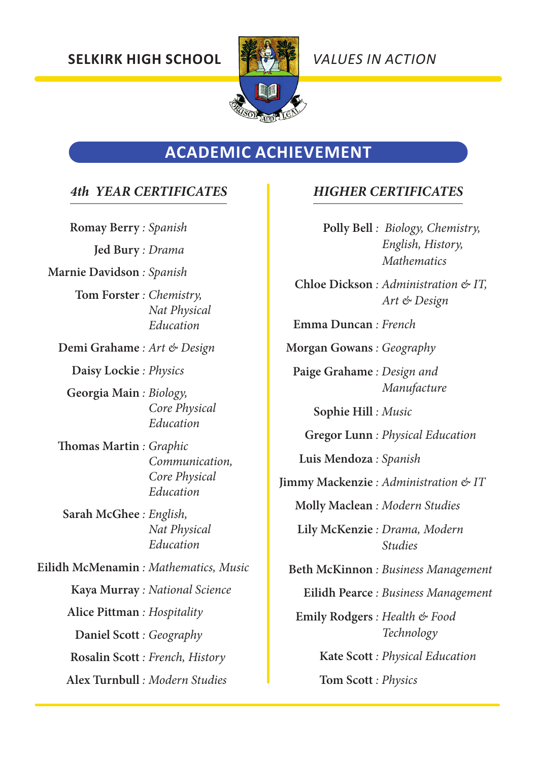

## **ACADEMIC ACHIEVEMENT**

#### *4th YEAR CERTIFICATES*

**Romay Berry** *: Spanish* **Jed Bury** *: Drama* **Marnie Davidson** *: Spanish* **Tom Forster** *: Chemistry, Nat Physical Education* **Demi Grahame** *: Art & Design* **Daisy Lockie** *: Physics* **Georgia Main** *: Biology, Core Physical Education* **Thomas Martin** *: Graphic Communication, Core Physical Education* **Sarah McGhee** *: English, Nat Physical Education* **Eilidh McMenamin** *: Mathematics, Music* **Kaya Murray** *: National Science* **Alice Pittman** *: Hospitality* **Daniel Scott** *: Geography* **Rosalin Scott** *: French, History* **Alex Turnbull** *: Modern Studies*

#### *HIGHER CERTIFICATES*

**Polly Bell** *: Biology, Chemistry, English, History, Mathematics*

**Chloe Dickson** *: Administration & IT, Art & Design*

**Emma Duncan** *: French*

**Morgan Gowans** *: Geography*

**Paige Grahame** *: Design and Manufacture*

**Sophie Hill** *: Music*

**Gregor Lunn** *: Physical Education*

**Luis Mendoza** *: Spanish*

**Jimmy Mackenzie** *: Administration & IT*

**Molly Maclean** *: Modern Studies*

**Lily McKenzie** *: Drama, Modern Studies*

**Beth McKinnon** *: Business Management*

**Eilidh Pearce** *: Business Management*

**Emily Rodgers** *: Health & Food Technology*

**Kate Scott** *: Physical Education*

**Tom Scott** *: Physics*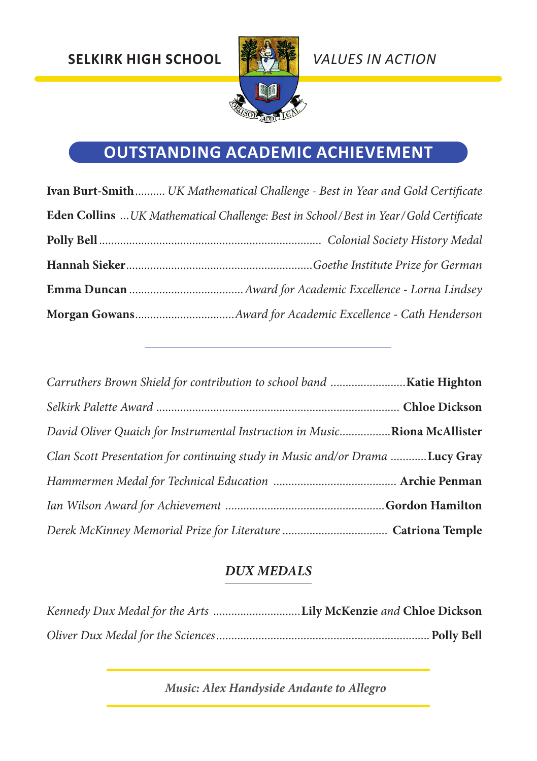

# **OUTSTANDING ACADEMIC ACHIEVEMENT**

| Ivan Burt-Smith UK Mathematical Challenge - Best in Year and Gold Certificate         |
|---------------------------------------------------------------------------------------|
| Eden Collins  UK Mathematical Challenge: Best in School/Best in Year/Gold Certificate |
|                                                                                       |
|                                                                                       |
|                                                                                       |
|                                                                                       |

| Carruthers Brown Shield for contribution to school band Katie Highton        |  |
|------------------------------------------------------------------------------|--|
|                                                                              |  |
| David Oliver Quaich for Instrumental Instruction in MusicRiona McAllister    |  |
| Clan Scott Presentation for continuing study in Music and/or Drama Lucy Gray |  |
|                                                                              |  |
|                                                                              |  |
|                                                                              |  |

## *DUX MEDALS*

| Kennedy Dux Medal for the Arts Lily McKenzie and Chloe Dickson |
|----------------------------------------------------------------|
|                                                                |

*Music: Alex Handyside Andante to Allegro*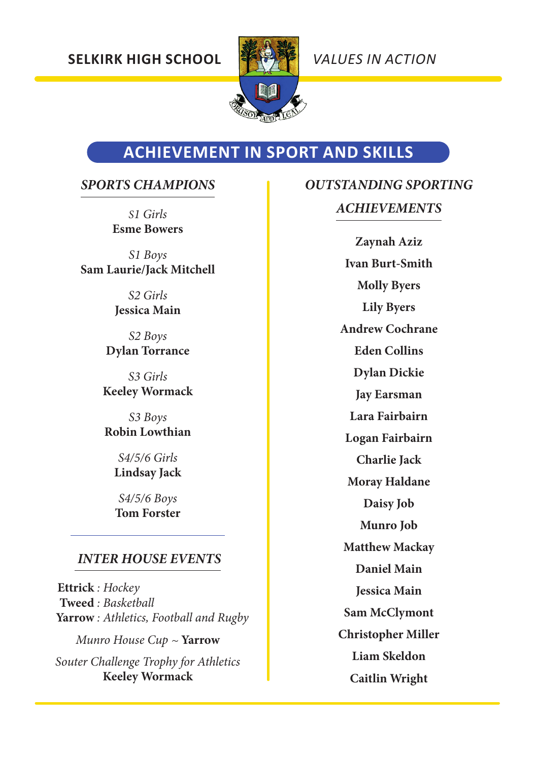

# **ACHIEVEMENT IN SPORT AND SKILLS**

#### *SPORTS CHAMPIONS*

*S1 Girls*  **Esme Bowers** 

*S1 Boys* **Sam Laurie/Jack Mitchell**

> *S2 Girls* **Jessica Main**

*S2 Boys* **Dylan Torrance**

*S3 Girls* **Keeley Wormack**

*S3 Boys* **Robin Lowthian**

> *S4/5/6 Girls*  **Lindsay Jack**

*S4/5/6 Boys* **Tom Forster**

#### *INTER HOUSE EVENTS*

**Ettrick** *: Hockey* **Tweed** *: Basketball* **Yarrow** *: Athletics, Football and Rugby Munro House Cup ~* **Yarrow** *Souter Challenge Trophy for Athletics* **Keeley Wormack**

# *OUTSTANDING SPORTING*

### *ACHIEVEMENTS*

**Zaynah Aziz Ivan Burt-Smith Molly Byers Lily Byers Andrew Cochrane Eden Collins Dylan Dickie Jay Earsman Lara Fairbairn Logan Fairbairn Charlie Jack Moray Haldane Daisy Job Munro Job Matthew Mackay Daniel Main Jessica Main Sam McClymont Christopher Miller Liam Skeldon Caitlin Wright**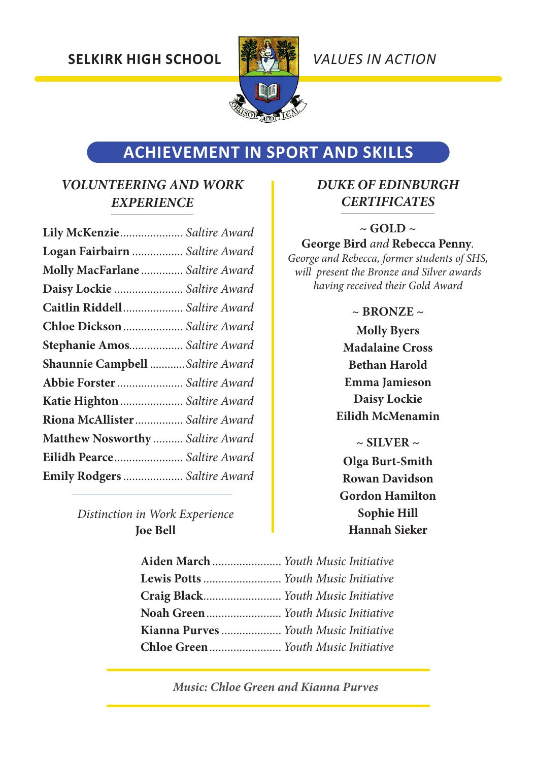

# **ACHIEVEMENT IN SPORT AND SKILLS**

#### *VOLUNTEERING AND WORK EXPERIENCE*

| Lily McKenzie Saltire Award      |  |
|----------------------------------|--|
| Logan Fairbairn  Saltire Award   |  |
| Molly MacFarlane  Saltire Award  |  |
| Daisy Lockie  Saltire Award      |  |
| Caitlin Riddell Saltire Award    |  |
| Chloe Dickson  Saltire Award     |  |
| Stephanie Amos Saltire Award     |  |
| Shaunnie Campbell Saltire Award  |  |
| Abbie Forster  Saltire Award     |  |
| Katie Highton  Saltire Award     |  |
| Riona McAllister Saltire Award   |  |
| Matthew Nosworthy  Saltire Award |  |
| Eilidh Pearce Saltire Award      |  |
| Emily Rodgers  Saltire Award     |  |

*Distinction in Work Experience* **Joe Bell**

#### *DUKE OF EDINBURGH CERTIFICATES*

#### **~ GOLD ~**

**George Bird** *and* **Rebecca Penny***.* 

*George and Rebecca, former students of SHS, will present the Bronze and Silver awards having received their Gold Award*

#### $\sim$  **BRONZE**  $\sim$

**Molly Byers Madalaine Cross Bethan Harold Emma Jamieson Daisy Lockie Eilidh McMenamin**

**~ SILVER ~ Olga Burt-Smith Rowan Davidson Gordon Hamilton Sophie Hill Hannah Sieker**

| Aiden March  Youth Music Initiative   |  |
|---------------------------------------|--|
| Lewis Potts  Youth Music Initiative   |  |
| Craig Black Youth Music Initiative    |  |
| Noah Green Youth Music Initiative     |  |
| Kianna Purves  Youth Music Initiative |  |
|                                       |  |

*Music: Chloe Green and Kianna Purves*